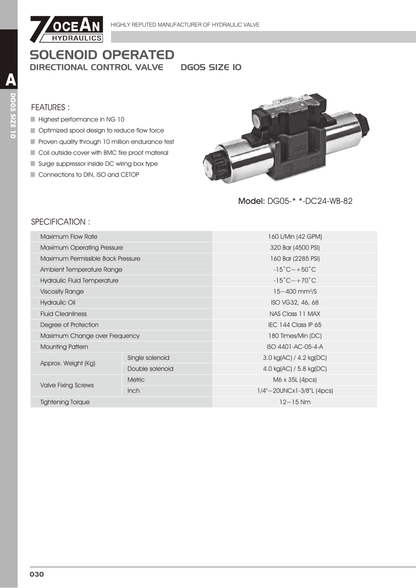

DGO5 SIZE IO

#### **FEATURES:**

- Highest performance in NG 10
- Optimized spool design to reduce flow force
- Proven quality through 10 million endurance test
- Coil outside cover with BMC fire proof material
- Surge suppressor inside DC wiring box type
- Connections to DIN, ISO and CETOP



Model: DG05-\* \*-DC24-WB-82

## SPECIFICATION:

| <b>Maximum Flow Rate</b>          |                 | 160 L/Min (42 GPM)                      |  |  |
|-----------------------------------|-----------------|-----------------------------------------|--|--|
| <b>Maximum Operating Pressure</b> |                 | 320 Bar (4500 PSI)                      |  |  |
| Maximum Permissible Back Pressure |                 | 160 Bar (2285 PSI)                      |  |  |
| Ambient Temperature Range         |                 | $-15^{\circ}$ C $\sim$ +50 $^{\circ}$ C |  |  |
| Hydraulic Fluid Temperature       |                 | $-15^{\circ}$ C $-+70^{\circ}$ C        |  |  |
| <b>Viscosity Range</b>            |                 | $15 - 400$ mm <sup>2</sup> /S           |  |  |
| Hydraulic Oil                     |                 | ISO VG32, 46, 68                        |  |  |
| <b>Fluid Cleanliness</b>          |                 | NAS Class 11 MAX                        |  |  |
| Degree of Protection              |                 | IEC 144 Class IP 65                     |  |  |
| Maximum Change over Frequency     |                 | 180 Times/Min (DC)                      |  |  |
| <b>Mounting Pattern</b>           |                 | ISO 4401-AC-05-4-A                      |  |  |
|                                   | Single solenoid | 3.0 kg(AC) / 4.2 kg(DC)                 |  |  |
| Approx. Weight (Kg)               | Double solenoid | 4.0 kg(AC) / 5.8 kg(DC)                 |  |  |
|                                   | <b>Metric</b>   | M6 x 35L (4pcs)                         |  |  |
| <b>Valve Fixing Screws</b>        | <b>Inch</b>     | $1/4$ "~20UNCx1-3/8"L (4pcs)            |  |  |
| <b>Tightening Torque</b>          |                 | $12 - 15$ Nm                            |  |  |
|                                   |                 |                                         |  |  |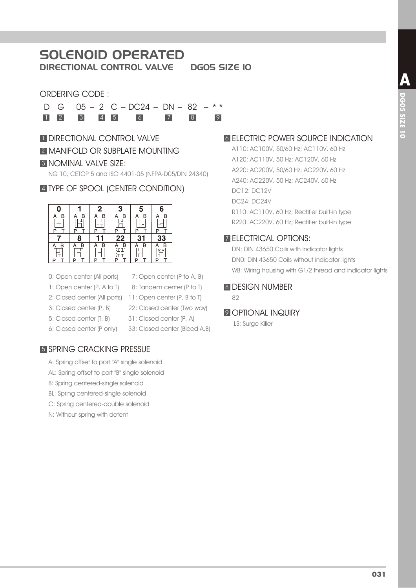# SOLENOID OPERATED

DIRECTIONAL CONTROL VALVE DG05 SIZE 10

#### ORDERING CODE :

D G  $05 - 2$  C – DC24 – DN – 82 – \* \* 1 2 3 4 5 6 7 8 9

# **1 DIRECTIONAL CONTROL VALVE 2 MANIFOLD OR SUBPLATE MOUNTING** 3 NOMINAL VALVE SIZE:

NG 10, CETOP 5 and ISO 4401-05 (NFPA-D05/DIN 24340)

## 4 TYPE OF SPOOL (CENTER CONDITION)



- 0: Open center (All ports)
- 7: Open center (P to A, B) 8: Tandem center (P to T)
- 2: Closed center (All ports) 11: Open center (P, B to T) 1: Open center (P, A to T)
- 3: Closed center (P, B)
- 5: Closed center (T, B)
- 6: Closed center (P only)
- 22: Closed center (Two way) 31: Closed center (P, A)
- 33: Closed center (Bleed A,B)

## 5 SPRING CRACKING PRESSUE

- A: Spring offset to port "A" single solenoid
- AL: Spring offset to port "B" single solenoid
- B: Spring centered-single solenoid
- BL: Spring centered-single solenoid
- C: Spring centered-double solenoid
- N: Without spring with detent

## **6 ELECTRIC POWER SOURCE INDICATION**

A110: AC100V, 50/60 Hz; AC110V, 60 Hz A120: AC110V, 50 Hz; AC120V, 60 Hz A220: AC200V, 50/60 Hz; AC220V, 60 Hz A240: AC220V, 50 Hz; AC240V, 60 Hz DC12: DC12V DC24: DC24V R110: AC110V, 60 Hz; Rectifier built-in type R220: AC220V, 60 Hz; Rectifier built-in type

## 7 ELECTRICAL OPTIONS:

DN: DIN 43650 Coils with indicator lights DN0: DIN 43650 Coils without indicator lights WB: Wiring housing with G1/2 thread and indicator lights

#### 8 DESIGN NUMBER

82

#### **9 OPTIONAL INQUIRY**

LS: Surge Killer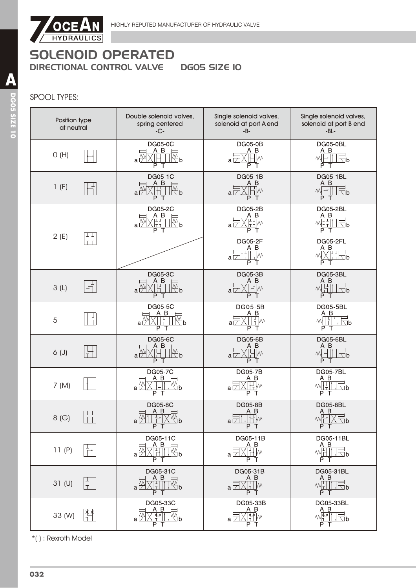

## SPOOL TYPES:

| Position type<br>at neutral | Double solenoid valves,<br>spring centered<br>$-C -$                                | Single solenoid valves,<br>solenoid at port A end<br>$-B-$                                | Single solenoid valves,<br>solenoid at port B end<br>$-BL-$                                                               |
|-----------------------------|-------------------------------------------------------------------------------------|-------------------------------------------------------------------------------------------|---------------------------------------------------------------------------------------------------------------------------|
| O(H)                        | <b>DG05-0C</b><br>A B<br>$\mathbb{R}^{\mathsf{p}}$<br>a۱<br>P T                     | <b>DG05-0B</b><br>A B<br>┧╟<br>$a\nabla$<br>P.<br>Т                                       | DG05-0BL<br>A B<br>WHI<br>$\sqrt{2}P$<br>P T                                                                              |
| 1(F)                        | DG05-1C<br>A B<br>a [<br>∖b<br>P<br>т                                               | DG05-1B<br>A B<br><b>IH</b> M<br>$a\nabla$<br>P T                                         | <b>DG05-1BL</b><br>A B<br>M <sub>1</sub><br>$\sqrt{2}b$<br>P<br>Т                                                         |
| TТ<br>2(E)                  | <b>DG05-2C</b><br>A B<br>$\Box$ p<br>lt ti<br>a<br>P T                              | <b>DG05-2B</b><br>$A$ $B$<br>WII<br>$a\nabla$<br>P.<br>$\top$                             | <b>DG05-2BL</b><br>$\begin{array}{c}\nA & B \\ \hline\n\mathcal{N}_{\text{I-I}} & \text{I} \\ \hline\n\end{array}$<br>P T |
| <b>TT</b>                   |                                                                                     | <b>DG05-2F</b><br>A B<br>┥┹┹╿╿<br>$\mathbb{I}^{\mathcal{N}}$<br>a $\boxdot$ rl<br>P.<br>T | DG05-2FL<br>A B<br>XĪTE b<br>P                                                                                            |
| 3(L)                        | DG05-3C<br>$A$ $B$<br>ℾ┹ℾ<br>$\mathbb{R}^{\mathsf{p}}$<br>a l<br>P T                | DG05-3B<br>A B<br>돼<br>$a\nabla$<br>PT                                                    | <b>DG05-3BL</b><br>A B<br>씨님<br>$\Box$ b<br>P T                                                                           |
| $\frac{1}{1}$<br>5          | <b>DG05-5C</b><br>$A$ $B$<br>a <u>Ä</u><br>$\overline{\mathbb{Z}}$ b<br>P<br>т      | <b>DG05-5B</b><br>A B<br>$\frac{1}{1}$ M<br>a⊡<br>PТ                                      | <b>DG05-5BL</b><br>A B<br>M<br>$\nabla b$<br>PT                                                                           |
| $6($ J $)$                  | <b>DG05-6C</b><br>A B<br>∭ь<br>Ш<br>$a\overline{\mathscr{P}}$<br>lt.<br>P<br>$\top$ | <b>DG05-6B</b><br>A B<br>'Hw<br>$a \boxtimes X$<br>PT                                     | <b>DG05-6BL</b><br>A B<br>WH<br>$\sqrt{2}b$<br>PT                                                                         |
| 7 (M)                       | <b>DG05-7C</b><br>A B<br>$\overline{\mathbb{R}}$ b<br>аĘ<br>Р                       | <b>DG05-7B</b><br>A B<br>W٧<br>a L<br>P                                                   | <b>DG05-7BL</b><br>A B<br>M<br>$\sqrt{2}b$<br>P<br>$\top$                                                                 |
| $\perp$<br>8(G)             | <b>DG05-8C</b><br>ΑB<br>a <sup>₩</sup><br>D<br>P T                                  | <b>DG05-8B</b><br>A B<br>$\mathbb{H}^1$<br>$a\not\Box$<br>P T                             | <b>DG05-8BL</b><br>A B<br>$M_{\square}^{\square}$<br>$\langle \Box$ p<br>P T                                              |
| 11(P)                       | DG05-11C<br>A B<br>∏∰p<br>$\mathbb H$ li<br>a I<br>P T                              | DG05-11B<br>A B<br>X旧w<br>a ⊠<br>P T                                                      | DG05-11BL<br>A B<br>W <sup>1</sup><br>$\overline{\mathbb{R}}$ b<br>P T                                                    |
| 31 <sub>(U)</sub>           | DG05-31C<br>A B<br>$\overline{\mathbb{R}}$ b<br>al<br>ΡТ                            | DG05-31B<br>A B<br>T-TM<br>al<br>P T                                                      | DG05-31BL<br>A B<br>$M_T^{\perp}$<br>$\sqrt{2}$<br>P T                                                                    |
| 33 (W)                      | DG05-33C<br>$A$ B<br>W٧<br>뾉<br>Mb<br>$a \mid$<br>P.<br>Т                           | DG05-33B<br>A B<br>FY M<br>a۱<br>P.<br>Т                                                  | DG05-33BL<br>A B<br>小村<br>Nb<br>P T                                                                                       |

\*( ) : Rexroth Model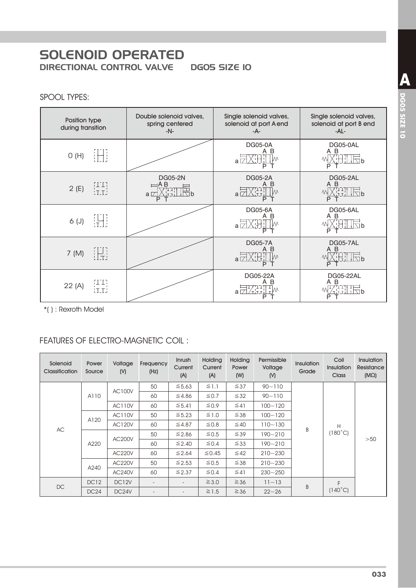#### SPOOL TYPES:

| Position type<br>during transition                          | Double solenoid valves,<br>spring centered<br>$-N-$           | Single solenoid valves,<br>solenoid at port A end<br>-A- | Single solenoid valves,<br>solenoid at port B end<br>$-AL -$ |
|-------------------------------------------------------------|---------------------------------------------------------------|----------------------------------------------------------|--------------------------------------------------------------|
| iHI.<br>O(H)                                                |                                                               | <b>DG05-0A</b><br>A B<br>$a \triangledown$<br>P          | DG05-0AL<br>A B<br>THT<br>$\Box$<br>P                        |
| НЦ.<br>Ітлі<br>2(E)                                         | <b>DG05-2N</b><br>∃A B<br>명합<br>대학<br>$a\not\Box$<br>∖lb<br>P | <b>DG05-2A</b><br>A B<br>$a \Box$<br>Р                   | DG05-2AL<br>A B<br>$\Box$ b                                  |
| 開<br>6(J)                                                   |                                                               | <b>DG05-6A</b><br>A B<br>$a\nabla$<br>P                  | DG05-6AL<br>A B<br>$\Box$ b                                  |
| H.<br>7 (M)                                                 |                                                               | <b>DG05-7A</b><br>B<br>Α<br>$a\not\Box$<br>P             | DG05-7AL<br>A B<br>괚<br>$\overline{\Box}$ b                  |
| ТП,<br>22 (A)<br>$\overline{\text{tr}}\overline{\text{tr}}$ |                                                               | DG05-22A<br>B<br>a l                                     | DG05-22AL<br>A B                                             |

\*( ) : Rexroth Model

# FEATURES OF ELECTRO-MAGNETIC COIL:

| Solenoid<br>Classification | Power<br>Source  | Voltage<br>(N)        | Frequency<br>(Hz)        | Inrush<br>Current<br>(A) | Holding<br>Current<br>(A) | <b>Holding</b><br>Power<br>(W) | Permissible<br>Voltage<br>(N) | <b>Insulation</b><br>Grade | Coil<br>Insulation<br><b>Class</b> | <b>Insulation</b><br>Resistance<br>$(M\Omega)$ |
|----------------------------|------------------|-----------------------|--------------------------|--------------------------|---------------------------|--------------------------------|-------------------------------|----------------------------|------------------------------------|------------------------------------------------|
|                            |                  | <b>AC100V</b>         | 50                       | $\leq 5.63$              | $\leq$ 1.1                | $\leq 37$                      | $90 - 110$                    |                            |                                    |                                                |
|                            | A110             |                       | 60                       | ≤4.86                    | $\leq 0.7$                | $\leq 32$                      | $90 - 110$                    |                            |                                    |                                                |
|                            |                  | <b>AC110V</b>         | 60                       | $\leq 5.41$              | $\leq 0.9$                | $\leq 41$                      | $100 - 120$                   |                            |                                    |                                                |
|                            | A120             | <b>AC110V</b>         | 50                       | $\leq 5.23$              | $\leq$ 1.0                | $\leq 38$                      | $100 - 120$                   |                            |                                    |                                                |
| AC                         |                  | <b>AC120V</b>         | 60                       | $\leq 4.87$              | $\leq 0.8$                | ≤ 40                           | $110 - 130$                   | B                          | H                                  |                                                |
|                            |                  | <b>AC200V</b><br>A220 | 50                       | ≤ 2.86                   | $\leq 0.5$                | $\leq 39$                      | 190~210                       |                            | $(180^{\circ}C)$                   | >50                                            |
|                            |                  |                       | 60                       | ≤ 2.40                   | $\leq 0.4$                | $\leq 33$                      | $190 - 210$                   |                            |                                    |                                                |
|                            |                  | <b>AC220V</b>         | 60                       | ≤ 2.64                   | $\leq$ 0.45               | $\leq 42$                      | $210 - 230$                   |                            |                                    |                                                |
|                            |                  | <b>AC220V</b>         | 50                       | $\leq$ 2.53              | ≤ 0.5                     | $\leq 38$                      | $210 - 230$                   |                            |                                    |                                                |
|                            | A240             | <b>AC240V</b>         | 60                       | $\leq 2.37$              | $\leq 0.4$                | $\leq 41$                      | $230 - 250$                   |                            |                                    |                                                |
|                            | DC <sub>12</sub> | DC <sub>12V</sub>     | $\overline{\phantom{a}}$ | $\overline{\phantom{a}}$ | $\geq 3.0$                | $\geq 36$                      | $11 - 13$                     | B                          | F                                  |                                                |
| DC                         | DC24             | DC <sub>24</sub> V    | $\overline{\phantom{a}}$ | $\overline{\phantom{0}}$ | $\geq$ 1.5                | $\geq 36$                      | $22 - 26$                     |                            | $(140^{\circ}C)$                   |                                                |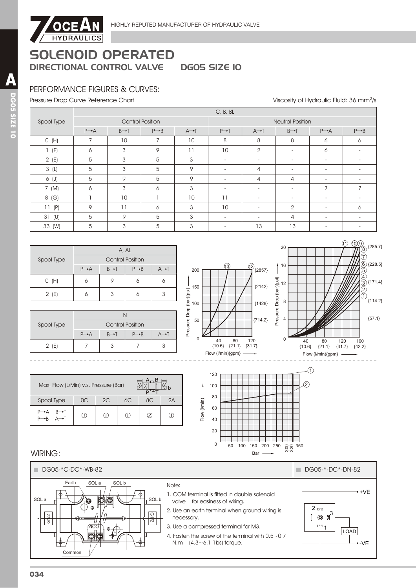

## PERFORMANCE FIGURES & CURVES:

Pressure Drop Curve Reference Chart

Viscosity of Hydraulic Fluid: 36 mm<sup>2</sup>/s

|            |                   |                   |                         |                   | C, B, BL                 |                          |                          |                          |                   |  |
|------------|-------------------|-------------------|-------------------------|-------------------|--------------------------|--------------------------|--------------------------|--------------------------|-------------------|--|
| Spool Type |                   |                   | <b>Control Position</b> |                   | <b>Neutral Position</b>  |                          |                          |                          |                   |  |
|            | $P \rightarrow A$ | $B \rightarrow T$ | $P \rightarrow B$       | $A \rightarrow I$ | $P \rightarrow T$        | $A \rightarrow I$        | $B \rightarrow T$        | $P \rightarrow A$        | $P \rightarrow B$ |  |
| O(H)       | $\overline{7}$    | 10                | 7                       | 10                | 8                        | 8                        | 8                        | 6                        | 6                 |  |
| (F)        | 6                 | 3                 | 9                       | 11                | 10                       | $\overline{2}$           | $\sim$                   | 6                        |                   |  |
| 2(E)       | 5                 | 3                 | 5                       | 3                 | $\overline{\phantom{a}}$ | $\overline{\phantom{a}}$ | $\sim$                   | $\overline{\phantom{0}}$ |                   |  |
| 3(L)       | 5                 | 3                 | 5                       | 9                 | $\overline{\phantom{a}}$ | 4                        | $\sim$                   | $\overline{\phantom{a}}$ |                   |  |
| 6 (J)      | 5                 | 9                 | 5                       | 9                 | $\sim$                   | 4                        | 4                        | $\sim$                   |                   |  |
| 7 (M)      | 6                 | 3                 | 6                       | 3                 | $\overline{\phantom{a}}$ | $\overline{\phantom{a}}$ | $\overline{\phantom{a}}$ | $\overline{7}$           |                   |  |
| 8 (G)      |                   | 10                |                         | 10                | 11                       | $\overline{\phantom{a}}$ | $\blacksquare$           | $\overline{\phantom{a}}$ |                   |  |
| 11(P)      | 9                 | 11                | 6                       | 3                 | 10                       | $\overline{\phantom{a}}$ | $\overline{2}$           | $\overline{\phantom{a}}$ | 6                 |  |
| 31 (U)     | 5                 | 9                 | 5                       | 3                 | $\overline{\phantom{0}}$ |                          | 4                        |                          |                   |  |
| 33 (W)     | 5                 | 3                 | 5                       | 3                 |                          | 13                       | 13                       |                          |                   |  |

|            | A, AL                   |                   |                   |     |  |  |  |  |
|------------|-------------------------|-------------------|-------------------|-----|--|--|--|--|
| Spool Type | <b>Control Position</b> |                   |                   |     |  |  |  |  |
|            | $P \rightarrow A$       | $B \rightarrow T$ | $P \rightarrow B$ | A→T |  |  |  |  |
| O(H)       |                         |                   |                   |     |  |  |  |  |
| 2(E)       |                         | 3                 |                   |     |  |  |  |  |

| Spool Type |                         |                   |                   |  |  |  |  |  |  |
|------------|-------------------------|-------------------|-------------------|--|--|--|--|--|--|
|            | <b>Control Position</b> |                   |                   |  |  |  |  |  |  |
|            | $P \rightarrow A$       | $B \rightarrow T$ | $P \rightarrow R$ |  |  |  |  |  |  |
| 2(E)       |                         |                   |                   |  |  |  |  |  |  |





| Max. Flow (L/Min) v.s. Pressure (Bar) |     |    |    |     |    |  |  |
|---------------------------------------|-----|----|----|-----|----|--|--|
| Spool Type                            | nc. | 2C | 6С | 8C. | 2A |  |  |
| ⊟—⊾ B<br>$P \rightarrow R$            | D   |    | O) | (2) |    |  |  |



#### WIRING:

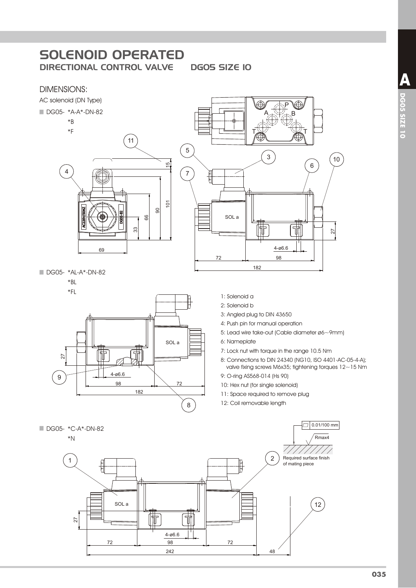DGO5 SIZE IO

#### **DIMENSIONS:**



 $4 - 06.6$ 

 $72$ 

48

98

242

 $72$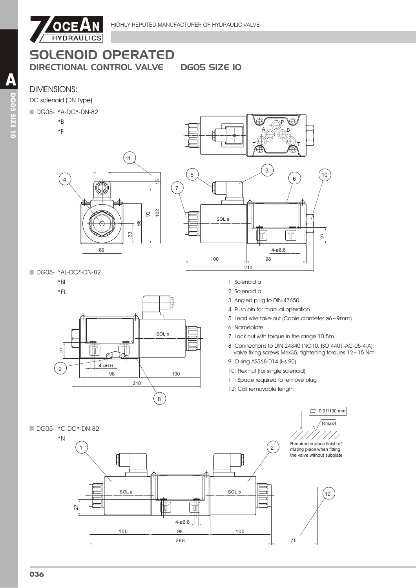



SOL a

100

Ħ

T

 $4 - 06.6$ 

98

298



75

SOL b

100

27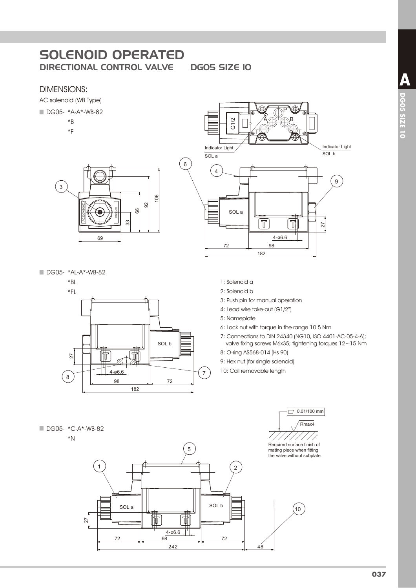DGO5 SIZE IO

 $\,6\,$ 

#### **DIMENSIONS:**

AC solenoid (WB Type)

DG05- \*A-A\*-WB-82

 $*B$ 

 $*F$ 

 $\overline{\mathbf{3}}$ °  $\Omega$ 88 33 69

DG05- \*AL-A\*-WB-82



- $G1/2$ Indicator Light Indicator Light  $SOL b$  $SOLa$  $\overline{4}$  $\boldsymbol{9}$ SOL a 捕 Ħ 27  $4 - 06.6$  $98$ 72 182
	- 1: Solenoid a
	- 2: Solenoid b
	- 3: Push pin for manual operation
	- 4: Lead wire take-out (G1/2")
	- 5: Nameplate
	- 6: Lock nut with torque in the range 10.5 Nm
	- 7: Connections to DIN 24340 (NG10, ISO 4401-AC-05-4-A); valve fixing screws M6x35; tightening torques 12~15 Nm

 $\boxed{2}$  0.01/100 mm  $\sqrt{\text{Rmax4}}$ 

- 8: O-ring AS568-014 (Hs 90)
- 9: Hex nut (for single solenoid)
- 10: Coil removable length



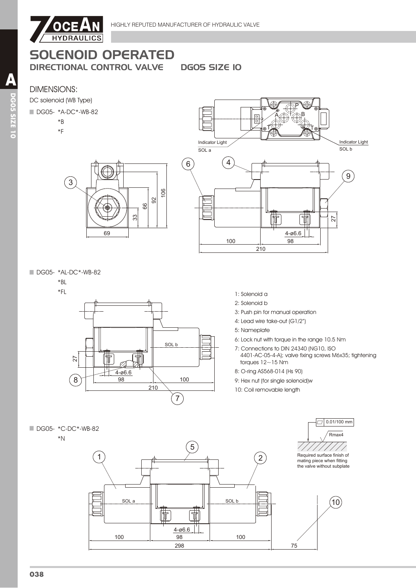

**DGOS SIZE IO** 

106 92 89

# **DIMENSIONS:**

DC solenoid (WB Type)

#### DG05- \*A-DC\*-WB-82

 $\widehat{3}$ 

- $*B$
- $*F$

**Indicator Light** Indicator Light  $SOLa$  $SOL b$  $\overline{4}$  $6$  $\hat{9}$ 俌 27  $4 - 06.6$ 100 98 210

DG05- \*AL-DC\*-WB-82

## $*BL$



33

69

- 1: Solenoid a
- 2: Solenoid b
- 3: Push pin for manual operation
- 4: Lead wire take-out (G1/2")
- 5: Nameplate
- 6: Lock nut with torque in the range 10.5 Nm
- 7: Connections to DIN 24340 (NG10, ISO
- 4401-AC-05-4-A); valve fixing screws M6x35; tightening torques  $12 - 15$  Nm
- 8: O-ring AS568-014 (Hs 90)
- 9: Hex nut (for single solenoid)w
- 10: Coil removable length

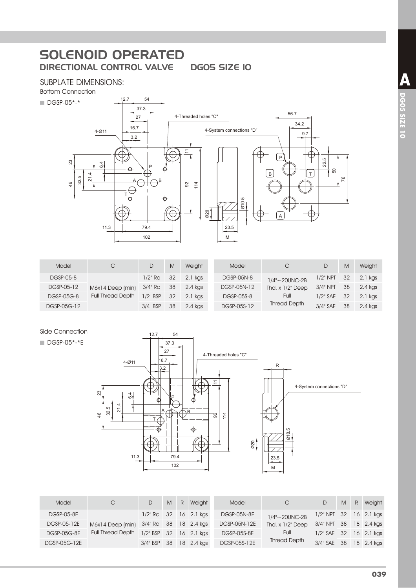## SUBPLATE DIMENSIONS:

Bottom Connection



| Model       | С                        | D           | M  | Weight  | Model             | C                     |             | M  | Weight  |
|-------------|--------------------------|-------------|----|---------|-------------------|-----------------------|-------------|----|---------|
| DGSP-05-8   |                          | 1/2" Rc     | 32 | 2.1 kgs | <b>DGSP-05N-8</b> | $1/4" \sim 20$ UNC-2B | $1/2"$ NPT  | 32 | 2.1 kgs |
| DGSP-05-12  | M6x14 Deep (min)         | $3/4"$ Rc   | 38 | 2.4 kgs | DGSP-05N-12       | Thd. $x$ $1/2$ " Deep | $3/4"$ NPT  | 38 | 2.4 kgs |
| DGSP-05G-8  | <b>Full Thread Depth</b> | $1/2$ " BSP | 32 | 2.1 kgs | DGSP-05S-8        | Full                  | $1/2$ " SAF | 32 | 2.1 kgs |
| DGSP-05G-12 |                          | 3/4" BSP    | 38 | 2.4 kgs | DGSP-05S-12       | <b>Thread Depth</b>   | 3/4" SAE    | 38 | 2.4 kgs |

#### Side Connection

#### DGSP-05\*-\*E



| Model              |                          |                 | M   | R | Weiaht     | Model              | CC                      |                           | M | R. | Weight     |
|--------------------|--------------------------|-----------------|-----|---|------------|--------------------|-------------------------|---------------------------|---|----|------------|
| <b>DGSP-05-8E</b>  |                          | $1/2$ " Rc $32$ |     |   | 16 2.1 kgs | DGSP-05N-8E        | $1/4$ " $\sim$ 20UNC-2B | $1/2$ " NPT 32 16 2.1 kgs |   |    |            |
| DGSP-05-12E        | M6x14 Deep (min)         | $3/4$ " Rc $38$ |     |   | 18 2.4 kgs | DGSP-05N-12E       | Thd. $x$ $1/2$ " Deep   | $3/4"$ NPT $38$           |   |    | 18 2.4 kgs |
| <b>DGSP-05G-8E</b> | <b>Full Thread Depth</b> | $1/2$ " BSP 32  |     |   | 16 2.1 kas | <b>DGSP-05S-8E</b> | Full                    | $1/2$ " SAE 32            |   |    | 16 2.1 kgs |
| DGSP-05G-12E       |                          | $3/4$ " BSP     | -38 |   | 18 2.4 kgs | DGSP-05S-12E       | <b>Thread Depth</b>     | 3/4" SAE 38               |   |    | 18 2.4 kgs |